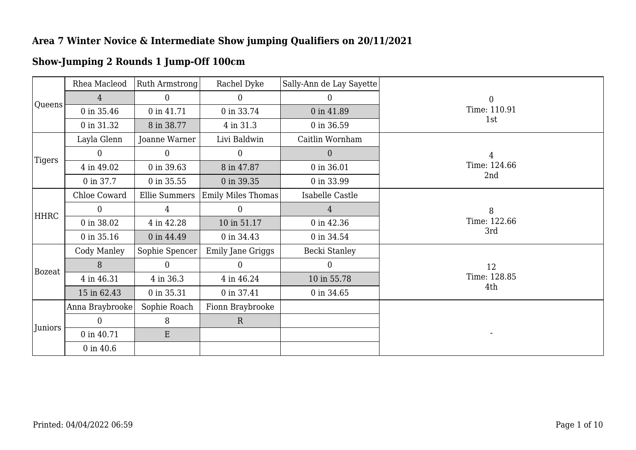|               | Rhea Macleod    | Ruth Armstrong       | Rachel Dyke        | Sally-Ann de Lay Sayette |                  |
|---------------|-----------------|----------------------|--------------------|--------------------------|------------------|
|               | $\overline{4}$  | $\overline{0}$       | $\mathbf{0}$       | 0                        | $\boldsymbol{0}$ |
| Queens        | 0 in 35.46      | 0 in 41.71           | 0 in 33.74         | 0 in 41.89               | Time: 110.91     |
|               | 0 in 31.32      | 8 in 38.77           | 4 in 31.3          | 0 in 36.59               | 1st              |
|               | Layla Glenn     | Joanne Warner        | Livi Baldwin       | Caitlin Wornham          |                  |
| Tigers        | $\Omega$        | $\overline{0}$       | $\overline{0}$     | $\overline{0}$           | 4                |
|               | 4 in 49.02      | 0 in 39.63           | 8 in 47.87         | 0 in 36.01               | Time: 124.66     |
|               | 0 in 37.7       | 0 in 35.55           | 0 in 39.35         | 0 in 33.99               | 2nd              |
|               | Chloe Coward    | <b>Ellie Summers</b> | Emily Miles Thomas | Isabelle Castle          |                  |
| HHRC          | 0               | $\overline{4}$       | $\overline{0}$     | 4                        | 8                |
|               | 0 in 38.02      | 4 in 42.28           | 10 in 51.17        | 0 in 42.36               | Time: 122.66     |
|               | 0 in 35.16      | 0 in 44.49           | 0 in 34.43         | 0 in 34.54               | 3rd              |
|               | Cody Manley     | Sophie Spencer       | Emily Jane Griggs  | Becki Stanley            |                  |
| <b>Bozeat</b> | 8               | $\overline{0}$       | $\theta$           | $\overline{0}$           | 12               |
|               | 4 in 46.31      | 4 in 36.3            | 4 in 46.24         | 10 in 55.78              | Time: 128.85     |
|               | 15 in 62.43     | 0 in 35.31           | 0 in 37.41         | 0 in 34.65               | 4th              |
|               | Anna Braybrooke | Sophie Roach         | Fionn Braybrooke   |                          |                  |
|               | $\Omega$        | 8                    | $\mathbf R$        |                          |                  |
| Juniors       | 0 in 40.71      | E                    |                    |                          |                  |
|               | $0$ in $40.6$   |                      |                    |                          |                  |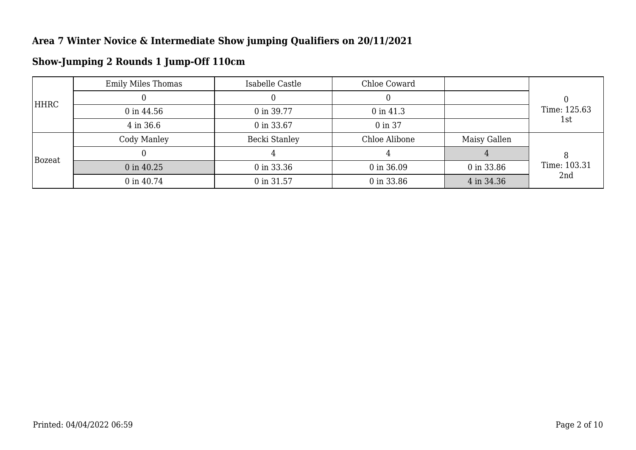|               | <b>Emily Miles Thomas</b> | Isabelle Castle | Chloe Coward  |              |              |
|---------------|---------------------------|-----------------|---------------|--------------|--------------|
|               |                           |                 |               |              |              |
| HHRC          | $0$ in 44.56              | 0 in 39.77      | $0$ in 41.3   |              | Time: 125.63 |
|               | 4 in 36.6                 | 0 in 33.67      | 0 in 37       |              | 1st          |
| <b>Bozeat</b> | Cody Manley               | Becki Stanley   | Chloe Alibone | Maisy Gallen |              |
|               |                           |                 | 4             |              |              |
|               | 0 in 40.25                | 0 in 33.36      | 0 in 36.09    | 0 in 33.86   | Time: 103.31 |
|               | 0 in 40.74                | 0 in 31.57      | 0 in 33.86    | 4 in 34.36   | 2nd          |

## **Show-Jumping 2 Rounds 1 Jump-Off 110cm**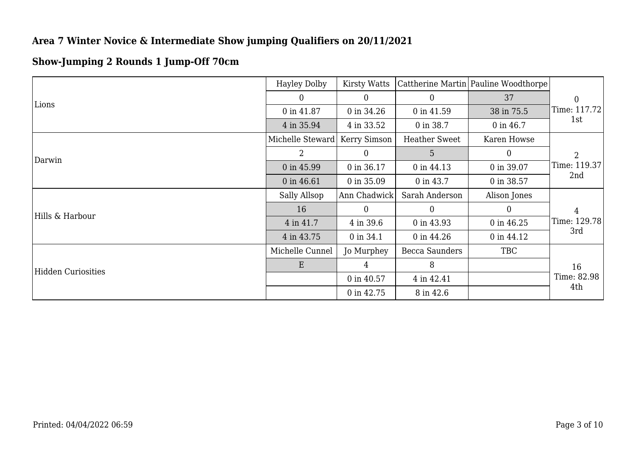## **Show-Jumping 2 Rounds 1 Jump-Off 70cm**

|                           | <b>Hayley Dolby</b> | Kirsty Watts |                      | Cattherine Martin Pauline Woodthorpe |                  |
|---------------------------|---------------------|--------------|----------------------|--------------------------------------|------------------|
|                           | $\Omega$            | $\Omega$     | $\overline{0}$       | 37                                   | $\boldsymbol{0}$ |
| Lions                     | 0 in 41.87          | 0 in 34.26   | 0 in 41.59           | 38 in 75.5                           | Time: 117.72     |
|                           | 4 in 35.94          | 4 in 33.52   | 0 in 38.7            | 0 in 46.7                            | 1st              |
|                           | Michelle Steward    | Kerry Simson | <b>Heather Sweet</b> | Karen Howse                          |                  |
| Darwin                    | 2                   | $\theta$     | 5                    | $\overline{0}$                       | $\overline{2}$   |
|                           | 0 in 45.99          | 0 in 36.17   | 0 in 44.13           | 0 in 39.07                           | Time: 119.37     |
|                           | 0 in 46.61          | 0 in 35.09   | 0 in 43.7            | 0 in 38.57                           | 2nd              |
|                           | Sally Allsop        | Ann Chadwick | Sarah Anderson       | Alison Jones                         |                  |
| Hills & Harbour           | 16                  | $\Omega$     | $\theta$             | $\Omega$                             | 4                |
|                           | 4 in 41.7           | 4 in 39.6    | 0 in 43.93           | 0 in 46.25                           | Time: 129.78     |
|                           | 4 in 43.75          | 0 in 34.1    | 0 in 44.26           | 0 in 44.12                           | 3rd              |
|                           | Michelle Cunnel     | Jo Murphey   | Becca Saunders       | <b>TBC</b>                           |                  |
| <b>Hidden Curiosities</b> | E                   | 4            | 8                    |                                      | 16               |
|                           |                     | 0 in 40.57   | 4 in 42.41           |                                      | Time: 82.98      |
|                           |                     | 0 in 42.75   | 8 in 42.6            |                                      | 4th              |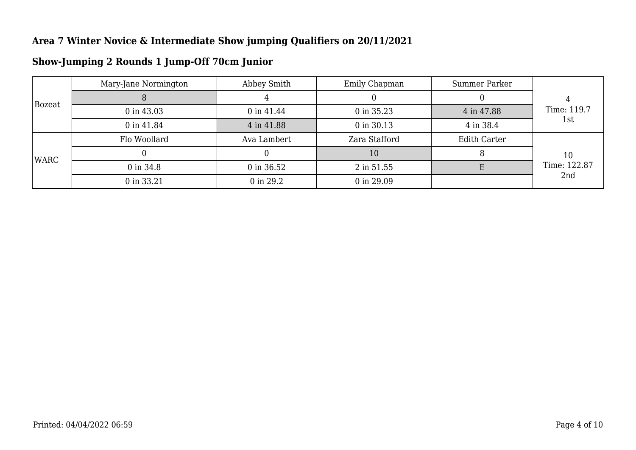| Bozeat | Mary-Jane Normington | Abbey Smith | Emily Chapman | Summer Parker       |              |  |
|--------|----------------------|-------------|---------------|---------------------|--------------|--|
|        |                      |             |               |                     |              |  |
|        | 0 in 43.03           | 0 in 41.44  | 0 in 35.23    | 4 in 47.88          | Time: 119.7  |  |
|        | 0 in 41.84           | 4 in 41.88  | 0 in 30.13    | 4 in 38.4           | 1st          |  |
| WARC   | Flo Woollard         | Ava Lambert | Zara Stafford | <b>Edith Carter</b> |              |  |
|        |                      |             | 10            |                     | 10           |  |
|        | 0 in 34.8            | 0 in 36.52  | 2 in 51.55    |                     | Time: 122.87 |  |
|        | 0 in 33.21           | 0 in 29.2   | 0 in 29.09    |                     | 2nd          |  |

## **Show-Jumping 2 Rounds 1 Jump-Off 70cm Junior**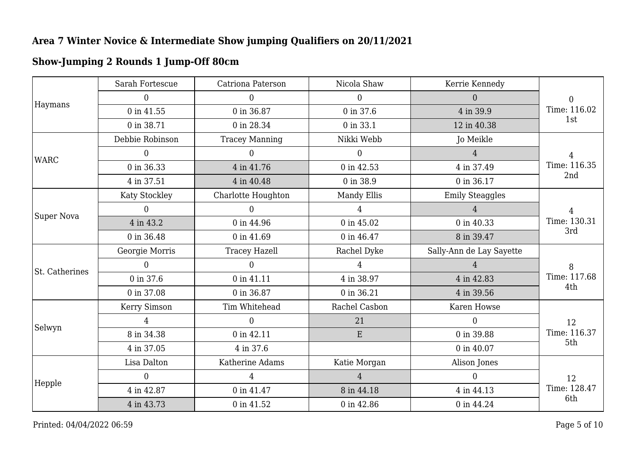## **Show-Jumping 2 Rounds 1 Jump-Off 80cm**

| Haymans        | Sarah Fortescue | Catriona Paterson     | Nicola Shaw    | Kerrie Kennedy           |                     |
|----------------|-----------------|-----------------------|----------------|--------------------------|---------------------|
|                | $\overline{0}$  | $\overline{0}$        | $\overline{0}$ | $\overline{0}$           | $\overline{0}$      |
|                | 0 in 41.55      | 0 in 36.87            | 0 in 37.6      | 4 in 39.9                | Time: 116.02        |
|                | 0 in 38.71      | 0 in 28.34            | 0 in 33.1      | 12 in 40.38              | 1st                 |
|                | Debbie Robinson | <b>Tracey Manning</b> | Nikki Webb     | Jo Meikle                |                     |
| <b>WARC</b>    | 0               | 0                     | $\Omega$       | 4                        | 4                   |
|                | 0 in 36.33      | 4 in 41.76            | 0 in 42.53     | 4 in 37.49               | Time: 116.35        |
|                | 4 in 37.51      | 4 in 40.48            | 0 in 38.9      | 0 in 36.17               | 2nd                 |
|                | Katy Stockley   | Charlotte Houghton    | Mandy Ellis    | <b>Emily Steaggles</b>   |                     |
| Super Nova     | 0               | $\Omega$              |                |                          | $\overline{4}$      |
|                | 4 in 43.2       | 0 in 44.96            | 0 in 45.02     | 0 in 40.33               | Time: 130.31<br>3rd |
|                | 0 in 36.48      | 0 in 41.69            | 0 in 46.47     | 8 in 39.47               |                     |
|                | Georgie Morris  | <b>Tracey Hazell</b>  | Rachel Dyke    | Sally-Ann de Lay Sayette |                     |
| St. Catherines | $\overline{0}$  | $\Omega$              | $\overline{4}$ | $\overline{4}$           | 8                   |
|                | 0 in 37.6       | 0 in 41.11            | 4 in 38.97     | 4 in 42.83               | Time: 117.68        |
|                | 0 in 37.08      | 0 in 36.87            | 0 in 36.21     | 4 in 39.56               | 4th                 |
|                | Kerry Simson    | Tim Whitehead         | Rachel Casbon  | Karen Howse              |                     |
|                | 4               | $\overline{0}$        | 21             | $\overline{0}$           | 12                  |
| Selwyn         | 8 in 34.38      | 0 in 42.11            | E              | 0 in 39.88               | Time: 116.37        |
|                | 4 in 37.05      | 4 in 37.6             |                | 0 in 40.07               | 5th                 |
|                | Lisa Dalton     | Katherine Adams       | Katie Morgan   | Alison Jones             |                     |
|                | $\overline{0}$  | $\overline{4}$        | $\overline{4}$ | $\overline{0}$           | 12                  |
| Hepple         | 4 in 42.87      | 0 in 41.47            | 8 in 44.18     | 4 in 44.13               | Time: 128.47        |
|                | 4 in 43.73      | 0 in 41.52            | 0 in 42.86     | 0 in 44.24               | 6th                 |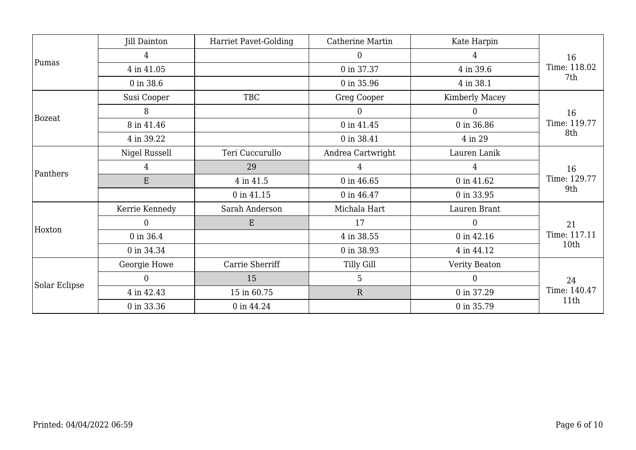|               | Jill Dainton   | <b>Harriet Pavet-Golding</b> | Catherine Martin   | Kate Harpin    |              |
|---------------|----------------|------------------------------|--------------------|----------------|--------------|
|               | 4              |                              | $\overline{0}$     | 4              | 16           |
| Pumas         | 4 in 41.05     |                              | 0 in 37.37         | 4 in 39.6      | Time: 118.02 |
|               | 0 in 38.6      |                              | 0 in 35.96         | 4 in 38.1      | 7th          |
|               | Susi Cooper    | <b>TBC</b>                   | <b>Greg Cooper</b> | Kimberly Macey |              |
|               | 8              |                              | $\Omega$           | $\overline{0}$ | 16           |
| <b>Bozeat</b> | 8 in 41.46     |                              | 0 in 41.45         | 0 in 36.86     | Time: 119.77 |
|               | 4 in 39.22     |                              | 0 in 38.41         | 4 in 29        | 8th          |
|               | Nigel Russell  | Teri Cuccurullo              | Andrea Cartwright  | Lauren Lanik   |              |
|               | 4              | 29                           | 4                  | $\overline{4}$ | 16           |
| Panthers      | $\mathbf E$    | 4 in 41.5                    | 0 in 46.65         | 0 in 41.62     | Time: 129.77 |
|               |                | 0 in 41.15                   | 0 in 46.47         | 0 in 33.95     | 9th          |
|               | Kerrie Kennedy | Sarah Anderson               | Michala Hart       | Lauren Brant   |              |
| Hoxton        | $\overline{0}$ | E                            | 17                 | $\theta$       | 21           |
|               | 0 in 36.4      |                              | 4 in 38.55         | 0 in 42.16     | Time: 117.11 |
|               | 0 in 34.34     |                              | 0 in 38.93         | 4 in 44.12     | 10th         |
|               | Georgie Howe   | Carrie Sherriff              | <b>Tilly Gill</b>  | Verity Beaton  |              |
|               | 0              | 15                           | 5                  | $\overline{0}$ | 24           |
| Solar Eclipse | 4 in 42.43     | 15 in 60.75                  | ${\bf R}$          | 0 in 37.29     | Time: 140.47 |
|               | 0 in 33.36     | 0 in 44.24                   |                    | 0 in 35.79     | 11th         |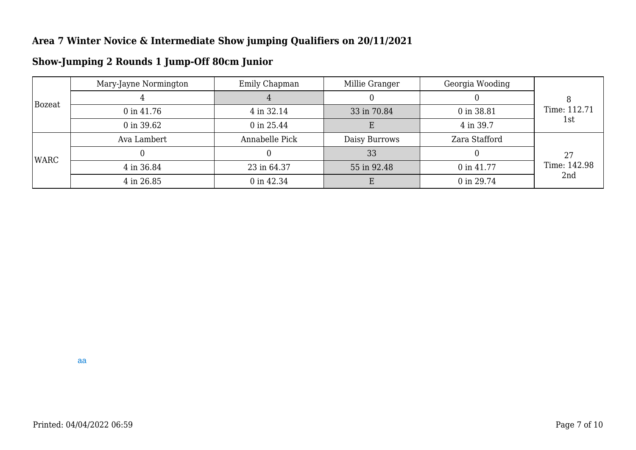| Bozeat | Mary-Jayne Normington | Emily Chapman  | Millie Granger | Georgia Wooding |              |  |
|--------|-----------------------|----------------|----------------|-----------------|--------------|--|
|        |                       |                |                |                 |              |  |
|        | $0$ in 41.76          | 4 in 32.14     | 33 in 70.84    | 0 in 38.81      | Time: 112.71 |  |
|        | 0 in 39.62            | 0 in 25.44     | E              | 4 in 39.7       | 1st          |  |
| WARC   | Ava Lambert           | Annabelle Pick | Daisy Burrows  | Zara Stafford   |              |  |
|        |                       |                | 33             |                 | 27           |  |
|        | 4 in 36.84            | 23 in 64.37    | 55 in 92.48    | 0 in 41.77      | Time: 142.98 |  |
|        | 4 in 26.85            | 0 in 42.34     |                | 0 in 29.74      | 2nd          |  |

## **Show-Jumping 2 Rounds 1 Jump-Off 80cm Junior**

aa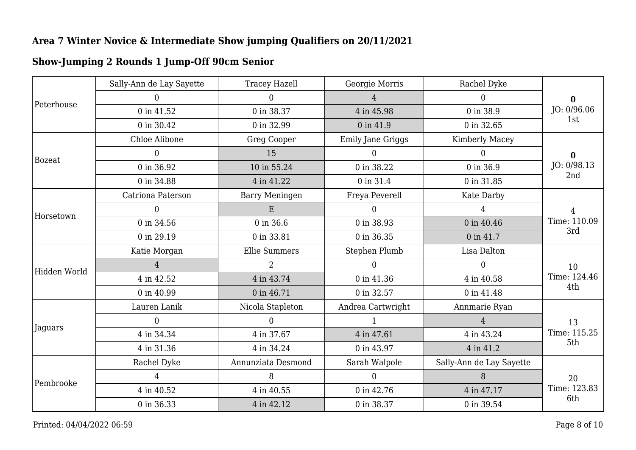| <b>Show-Jumping 2 Rounds 1 Jump-Off 90cm Senior</b> |
|-----------------------------------------------------|
|-----------------------------------------------------|

|               | Sally-Ann de Lay Sayette | <b>Tracey Hazell</b>  | Georgie Morris           | Rachel Dyke              |                     |  |
|---------------|--------------------------|-----------------------|--------------------------|--------------------------|---------------------|--|
|               | $\overline{0}$           | $\overline{0}$        | $\overline{4}$           | $\Omega$                 | $\bf{0}$            |  |
| Peterhouse    | 0 in 41.52               | 0 in 38.37            | 4 in 45.98               | 0 in 38.9                | JO: 0/96.06<br>1st  |  |
|               | 0 in 30.42               | 0 in 32.99            | 0 in 41.9                | 0 in 32.65               |                     |  |
|               | Chloe Alibone            | <b>Greg Cooper</b>    | <b>Emily Jane Griggs</b> | Kimberly Macey           |                     |  |
| <b>Bozeat</b> | $\overline{0}$           | 15                    | $\Omega$                 | 0                        | $\bf{0}$            |  |
|               | 0 in 36.92               | 10 in 55.24           | 0 in 38.22               | 0 in 36.9                | JO: 0/98.13         |  |
|               | 0 in 34.88               | 4 in 41.22            | 0 in 31.4                | 0 in 31.85               | 2nd                 |  |
|               | Catriona Paterson        | <b>Barry Meningen</b> | Freya Peverell           | Kate Darby               |                     |  |
| Horsetown     | $\overline{0}$           | E                     | $\overline{0}$           | $\overline{4}$           | 4                   |  |
|               | 0 in 34.56               | 0 in 36.6             | 0 in 38.93               | 0 in 40.46               | Time: 110.09<br>3rd |  |
|               | 0 in 29.19               | 0 in 33.81            | 0 in 36.35               | 0 in 41.7                |                     |  |
|               | Katie Morgan             | <b>Ellie Summers</b>  | Stephen Plumb            | Lisa Dalton              | 10                  |  |
| Hidden World  | $\overline{4}$           | $\overline{2}$        | $\theta$                 | $\theta$                 |                     |  |
|               | 4 in 42.52               | 4 in 43.74            | 0 in 41.36               | 4 in 40.58               | Time: 124.46        |  |
|               | 0 in 40.99               | 0 in 46.71            | 0 in 32.57               | 0 in 41.48               | 4th                 |  |
|               | Lauren Lanik             | Nicola Stapleton      | Andrea Cartwright        | Annmarie Ryan            |                     |  |
|               | $\theta$                 | $\overline{0}$        |                          | $\overline{4}$           | 13                  |  |
| Jaguars       | 4 in 34.34               | 4 in 37.67            | 4 in 47.61               | 4 in 43.24               | Time: 115.25        |  |
|               | 4 in 31.36               | 4 in 34.24            | 0 in 43.97               | 4 in 41.2                | 5th                 |  |
|               | Rachel Dyke              | Annunziata Desmond    | Sarah Walpole            | Sally-Ann de Lay Sayette |                     |  |
|               | 4                        | 8                     | $\Omega$                 | 8                        | 20                  |  |
| Pembrooke     | 4 in 40.52               | 4 in 40.55            | 0 in 42.76               | 4 in 47.17               | Time: 123.83        |  |
|               | 0 in 36.33               | 4 in 42.12            | 0 in 38.37               | 0 in 39.54               | 6th                 |  |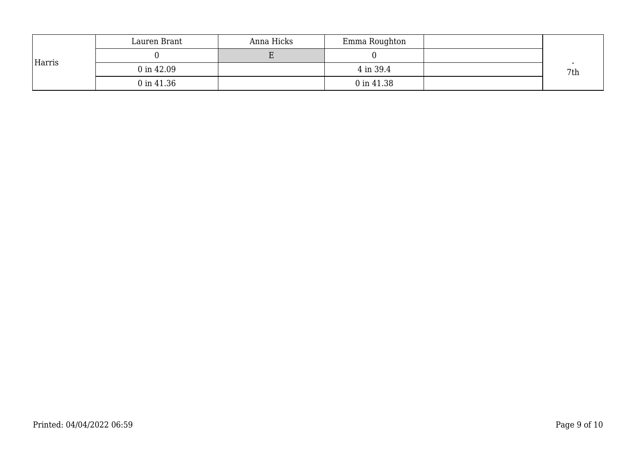|        | Lauren Brant          | Anna Hicks | Emma Roughton |     |
|--------|-----------------------|------------|---------------|-----|
|        |                       |            |               |     |
| Harris | $0 \text{ in } 42.09$ |            | 4 in 39.4     | 7th |
|        | 0 in 41.36            |            | 0 in 41.38    |     |